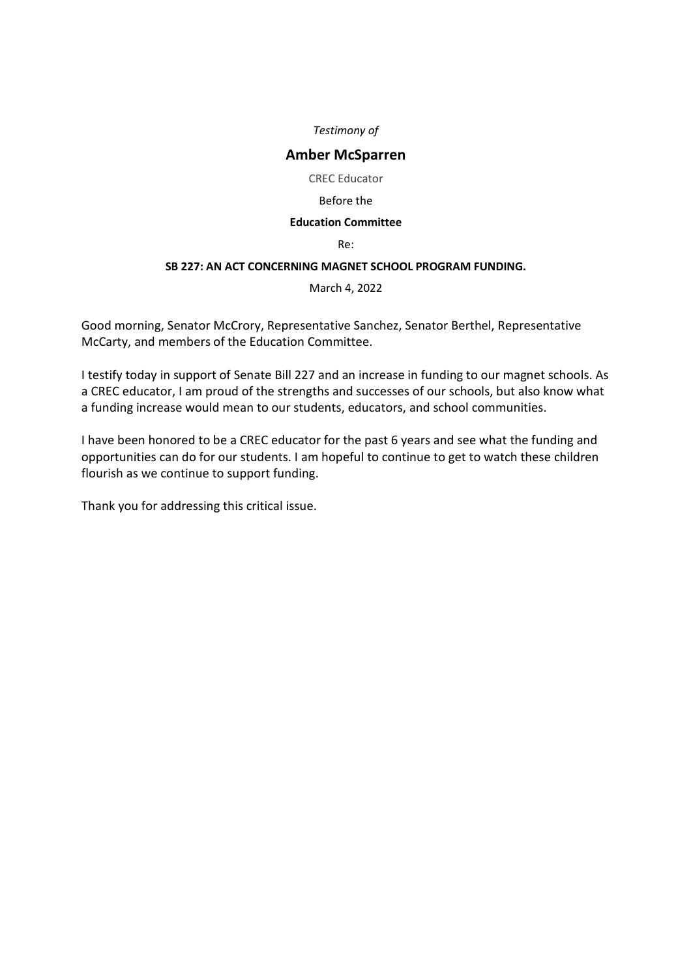# **Amber McSparren**

CREC Educator

#### Before the

## **Education Committee**

Re:

## **SB 227: AN ACT CONCERNING MAGNET SCHOOL PROGRAM FUNDING.**

March 4, 2022

Good morning, Senator McCrory, Representative Sanchez, Senator Berthel, Representative McCarty, and members of the Education Committee.

I testify today in support of Senate Bill 227 and an increase in funding to our magnet schools. As a CREC educator, I am proud of the strengths and successes of our schools, but also know what a funding increase would mean to our students, educators, and school communities.

I have been honored to be a CREC educator for the past 6 years and see what the funding and opportunities can do for our students. I am hopeful to continue to get to watch these children flourish as we continue to support funding.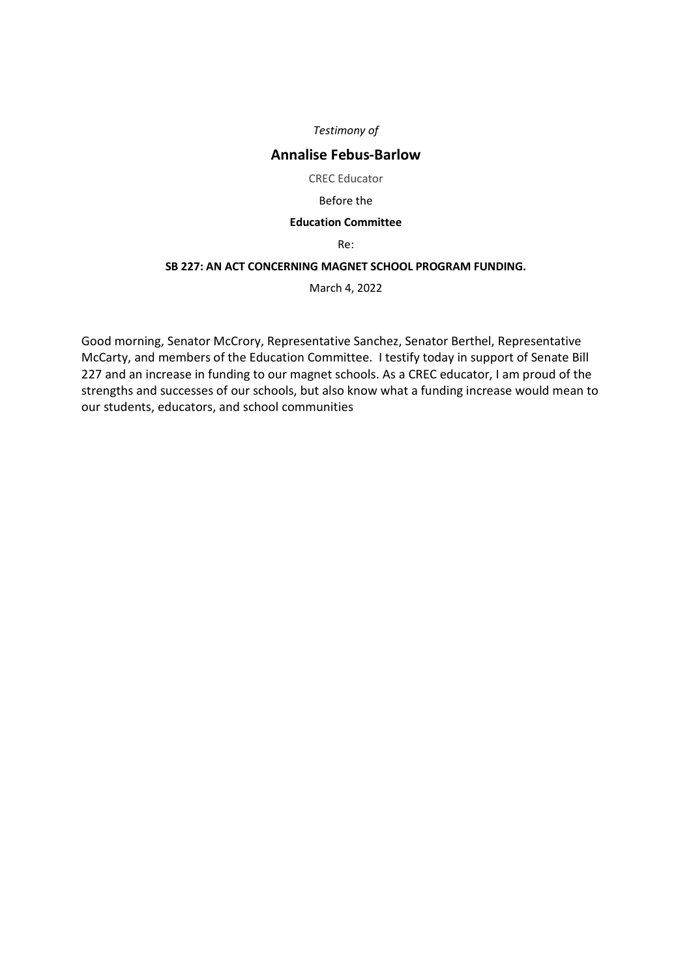# **Annalise Febus-Barlow**

CREC Educator

#### Before the

#### **Education Committee**

Re:

## **SB 227: AN ACT CONCERNING MAGNET SCHOOL PROGRAM FUNDING.**

March 4, 2022

Good morning, Senator McCrory, Representative Sanchez, Senator Berthel, Representative McCarty, and members of the Education Committee. I testify today in support of Senate Bill 227 and an increase in funding to our magnet schools. As a CREC educator, I am proud of the strengths and successes of our schools, but also know what a funding increase would mean to our students, educators, and school communities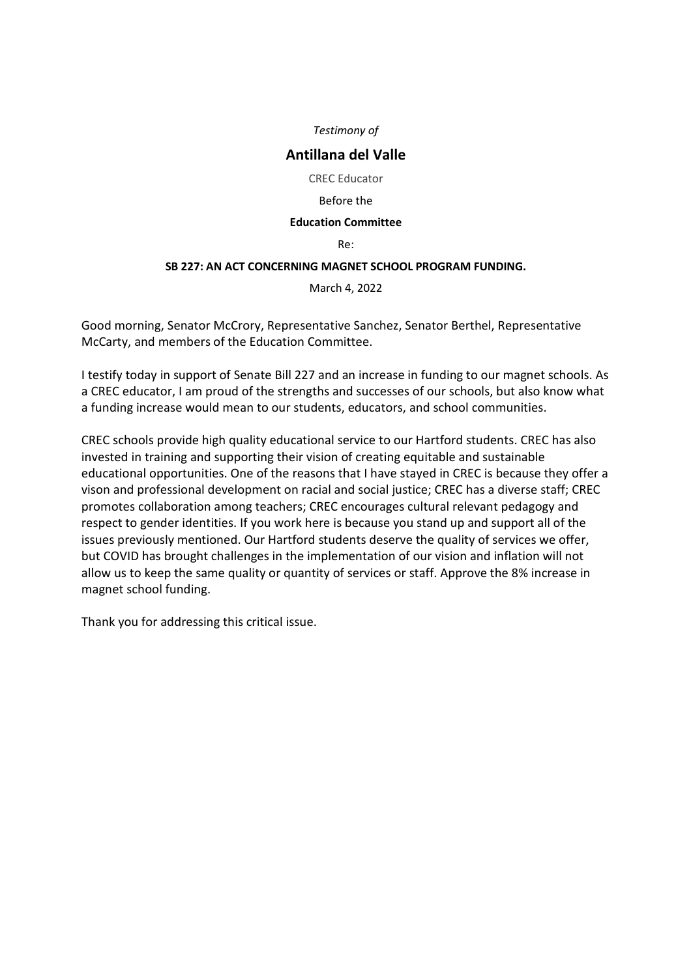# **Antillana del Valle**

CREC Educator

#### Before the

#### **Education Committee**

Re:

## **SB 227: AN ACT CONCERNING MAGNET SCHOOL PROGRAM FUNDING.**

March 4, 2022

Good morning, Senator McCrory, Representative Sanchez, Senator Berthel, Representative McCarty, and members of the Education Committee.

I testify today in support of Senate Bill 227 and an increase in funding to our magnet schools. As a CREC educator, I am proud of the strengths and successes of our schools, but also know what a funding increase would mean to our students, educators, and school communities.

CREC schools provide high quality educational service to our Hartford students. CREC has also invested in training and supporting their vision of creating equitable and sustainable educational opportunities. One of the reasons that I have stayed in CREC is because they offer a vison and professional development on racial and social justice; CREC has a diverse staff; CREC promotes collaboration among teachers; CREC encourages cultural relevant pedagogy and respect to gender identities. If you work here is because you stand up and support all of the issues previously mentioned. Our Hartford students deserve the quality of services we offer, but COVID has brought challenges in the implementation of our vision and inflation will not allow us to keep the same quality or quantity of services or staff. Approve the 8% increase in magnet school funding.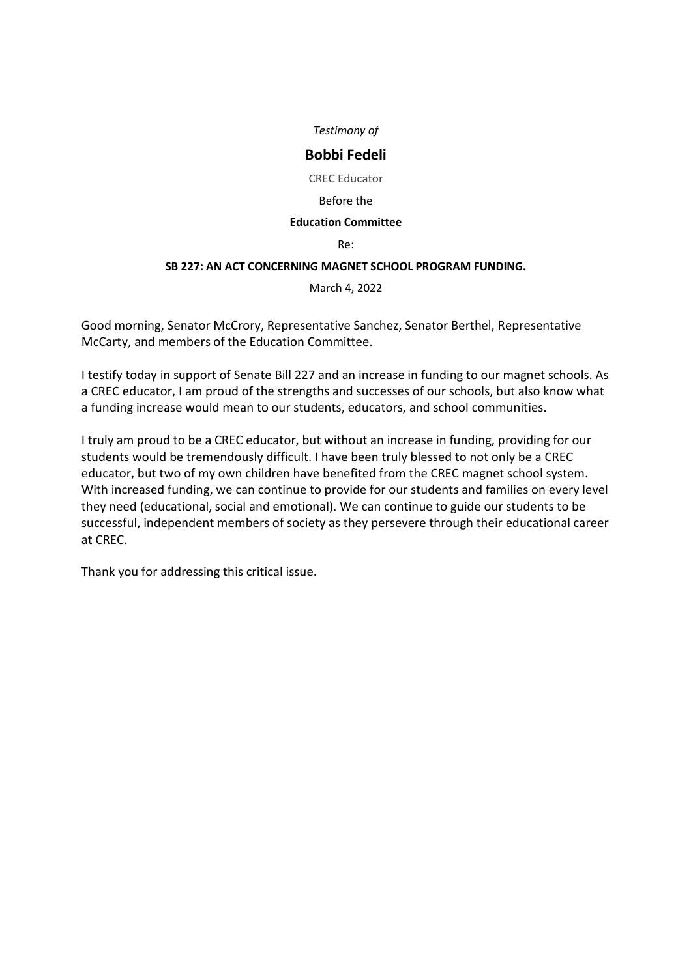# **Bobbi Fedeli**

CREC Educator

#### Before the

## **Education Committee**

Re:

## **SB 227: AN ACT CONCERNING MAGNET SCHOOL PROGRAM FUNDING.**

March 4, 2022

Good morning, Senator McCrory, Representative Sanchez, Senator Berthel, Representative McCarty, and members of the Education Committee.

I testify today in support of Senate Bill 227 and an increase in funding to our magnet schools. As a CREC educator, I am proud of the strengths and successes of our schools, but also know what a funding increase would mean to our students, educators, and school communities.

I truly am proud to be a CREC educator, but without an increase in funding, providing for our students would be tremendously difficult. I have been truly blessed to not only be a CREC educator, but two of my own children have benefited from the CREC magnet school system. With increased funding, we can continue to provide for our students and families on every level they need (educational, social and emotional). We can continue to guide our students to be successful, independent members of society as they persevere through their educational career at CREC.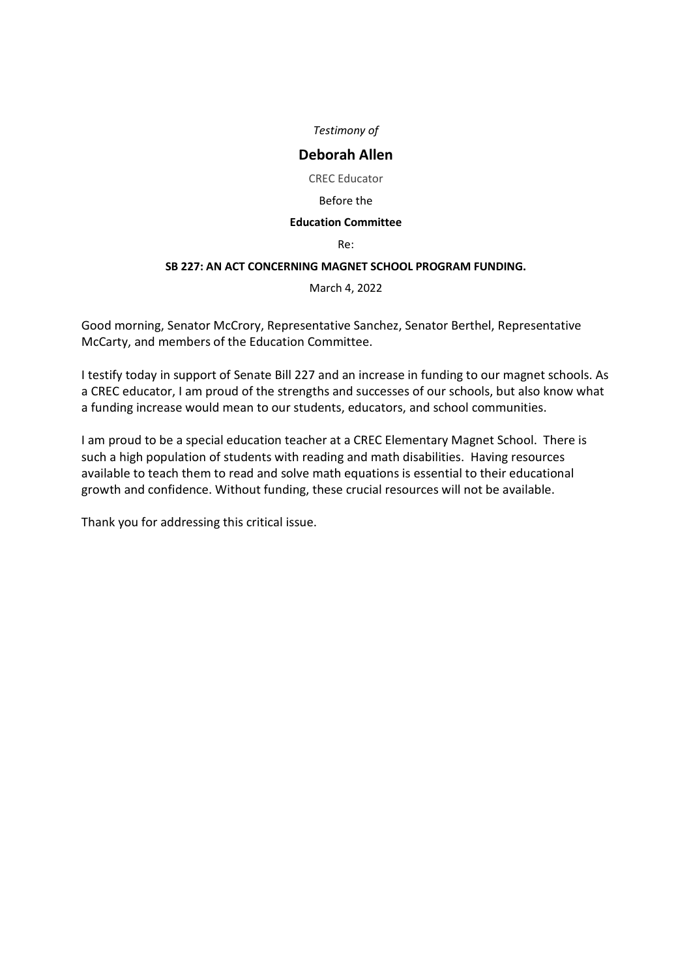# **Deborah Allen**

CREC Educator

#### Before the

## **Education Committee**

Re:

## **SB 227: AN ACT CONCERNING MAGNET SCHOOL PROGRAM FUNDING.**

March 4, 2022

Good morning, Senator McCrory, Representative Sanchez, Senator Berthel, Representative McCarty, and members of the Education Committee.

I testify today in support of Senate Bill 227 and an increase in funding to our magnet schools. As a CREC educator, I am proud of the strengths and successes of our schools, but also know what a funding increase would mean to our students, educators, and school communities.

I am proud to be a special education teacher at a CREC Elementary Magnet School. There is such a high population of students with reading and math disabilities. Having resources available to teach them to read and solve math equations is essential to their educational growth and confidence. Without funding, these crucial resources will not be available.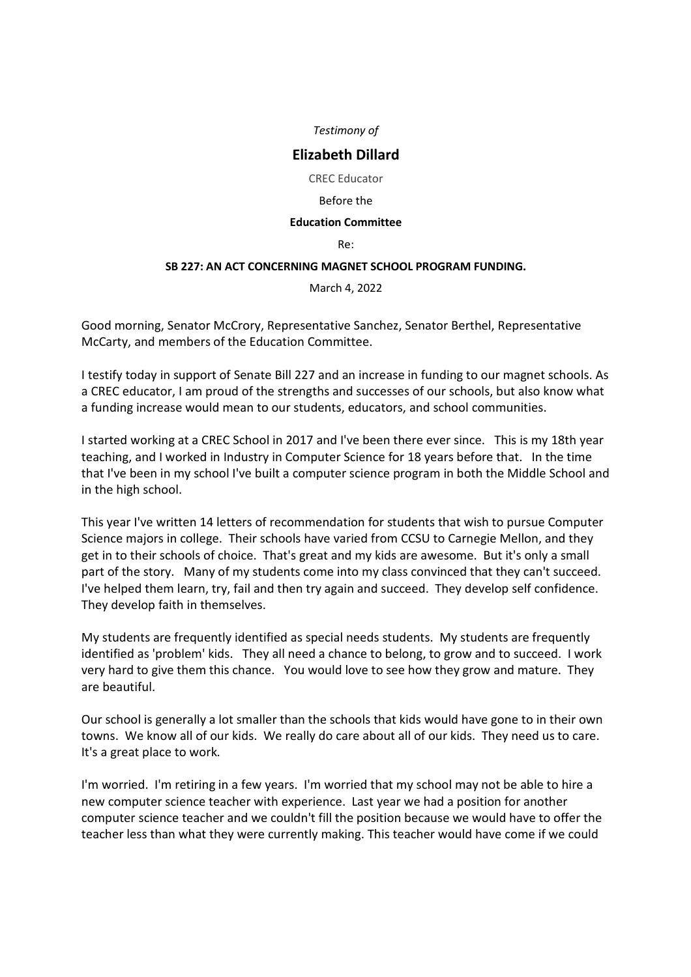# **Elizabeth Dillard**

CREC Educator

#### Before the

## **Education Committee**

Re:

## **SB 227: AN ACT CONCERNING MAGNET SCHOOL PROGRAM FUNDING.**

March 4, 2022

Good morning, Senator McCrory, Representative Sanchez, Senator Berthel, Representative McCarty, and members of the Education Committee.

I testify today in support of Senate Bill 227 and an increase in funding to our magnet schools. As a CREC educator, I am proud of the strengths and successes of our schools, but also know what a funding increase would mean to our students, educators, and school communities.

I started working at a CREC School in 2017 and I've been there ever since. This is my 18th year teaching, and I worked in Industry in Computer Science for 18 years before that. In the time that I've been in my school I've built a computer science program in both the Middle School and in the high school.

This year I've written 14 letters of recommendation for students that wish to pursue Computer Science majors in college. Their schools have varied from CCSU to Carnegie Mellon, and they get in to their schools of choice. That's great and my kids are awesome. But it's only a small part of the story. Many of my students come into my class convinced that they can't succeed. I've helped them learn, try, fail and then try again and succeed. They develop self confidence. They develop faith in themselves.

My students are frequently identified as special needs students. My students are frequently identified as 'problem' kids. They all need a chance to belong, to grow and to succeed. I work very hard to give them this chance. You would love to see how they grow and mature. They are beautiful.

Our school is generally a lot smaller than the schools that kids would have gone to in their own towns. We know all of our kids. We really do care about all of our kids. They need us to care. It's a great place to work.

I'm worried. I'm retiring in a few years. I'm worried that my school may not be able to hire a new computer science teacher with experience. Last year we had a position for another computer science teacher and we couldn't fill the position because we would have to offer the teacher less than what they were currently making. This teacher would have come if we could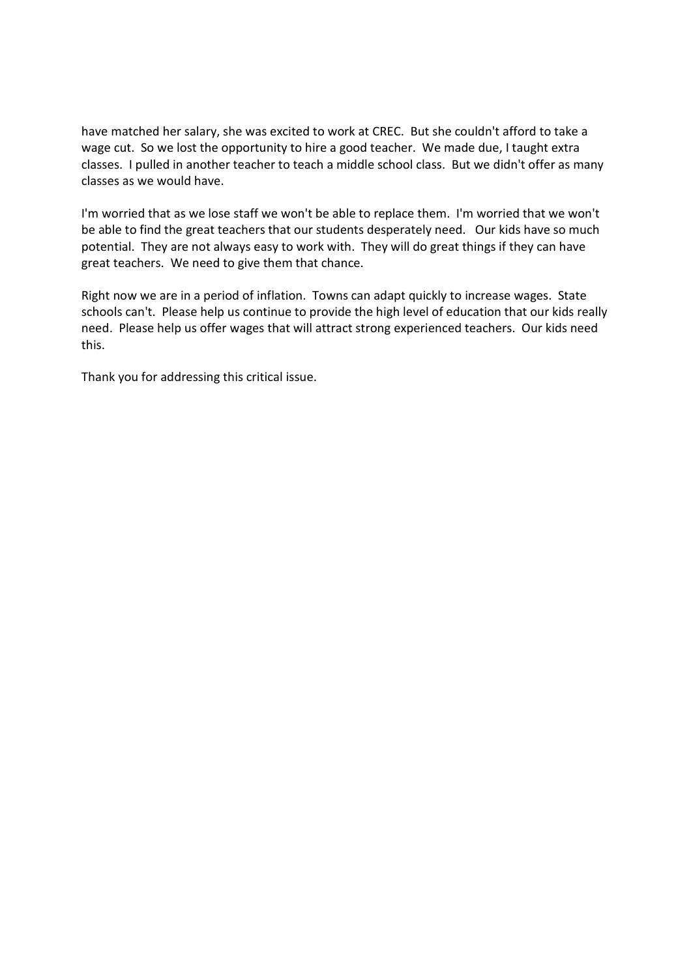have matched her salary, she was excited to work at CREC. But she couldn't afford to take a wage cut. So we lost the opportunity to hire a good teacher. We made due, I taught extra classes. I pulled in another teacher to teach a middle school class. But we didn't offer as many classes as we would have.

I'm worried that as we lose staff we won't be able to replace them. I'm worried that we won't be able to find the great teachers that our students desperately need. Our kids have so much potential. They are not always easy to work with. They will do great things if they can have great teachers. We need to give them that chance.

Right now we are in a period of inflation. Towns can adapt quickly to increase wages. State schools can't. Please help us continue to provide the high level of education that our kids really need. Please help us offer wages that will attract strong experienced teachers. Our kids need this.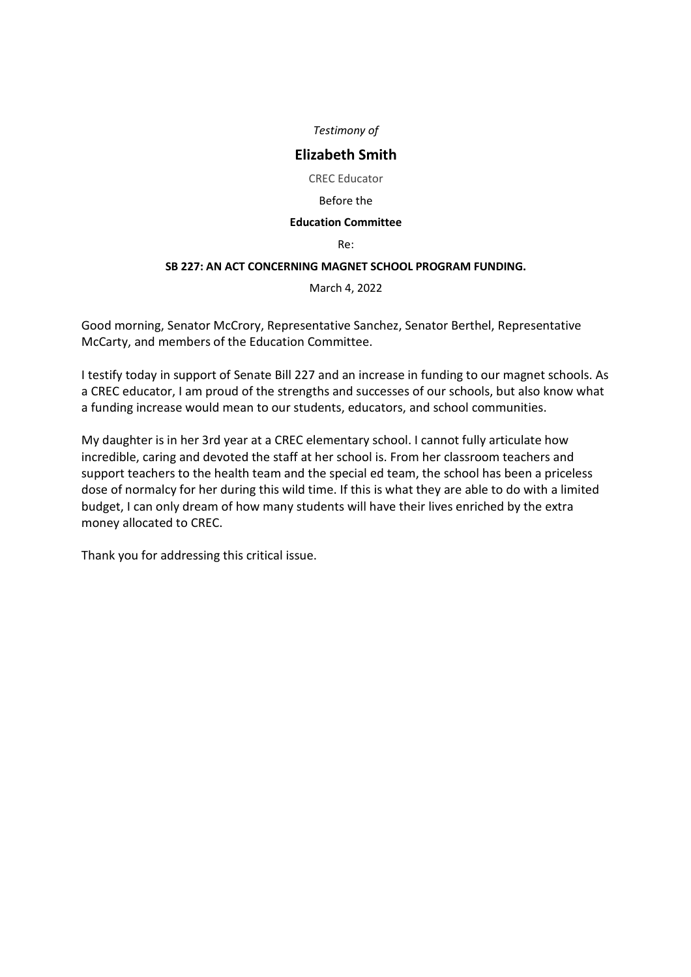# **Elizabeth Smith**

CREC Educator

#### Before the

#### **Education Committee**

Re:

## **SB 227: AN ACT CONCERNING MAGNET SCHOOL PROGRAM FUNDING.**

March 4, 2022

Good morning, Senator McCrory, Representative Sanchez, Senator Berthel, Representative McCarty, and members of the Education Committee.

I testify today in support of Senate Bill 227 and an increase in funding to our magnet schools. As a CREC educator, I am proud of the strengths and successes of our schools, but also know what a funding increase would mean to our students, educators, and school communities.

My daughter is in her 3rd year at a CREC elementary school. I cannot fully articulate how incredible, caring and devoted the staff at her school is. From her classroom teachers and support teachers to the health team and the special ed team, the school has been a priceless dose of normalcy for her during this wild time. If this is what they are able to do with a limited budget, I can only dream of how many students will have their lives enriched by the extra money allocated to CREC.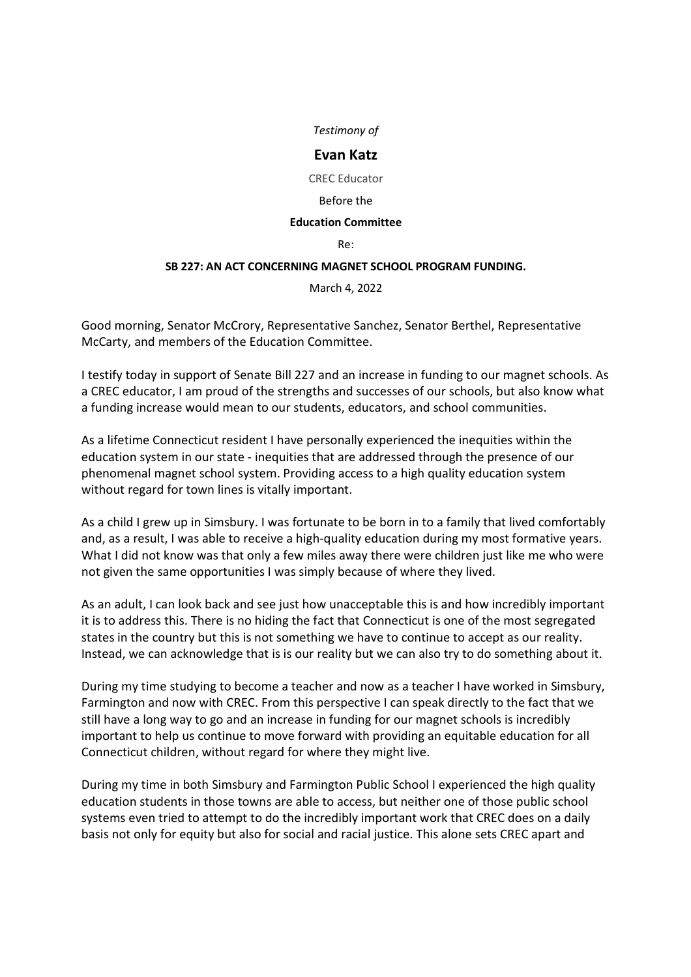# **Evan Katz**

CREC Educator

#### Before the

## **Education Committee**

Re:

## **SB 227: AN ACT CONCERNING MAGNET SCHOOL PROGRAM FUNDING.**

March 4, 2022

Good morning, Senator McCrory, Representative Sanchez, Senator Berthel, Representative McCarty, and members of the Education Committee.

I testify today in support of Senate Bill 227 and an increase in funding to our magnet schools. As a CREC educator, I am proud of the strengths and successes of our schools, but also know what a funding increase would mean to our students, educators, and school communities.

As a lifetime Connecticut resident I have personally experienced the inequities within the education system in our state - inequities that are addressed through the presence of our phenomenal magnet school system. Providing access to a high quality education system without regard for town lines is vitally important.

As a child I grew up in Simsbury. I was fortunate to be born in to a family that lived comfortably and, as a result, I was able to receive a high-quality education during my most formative years. What I did not know was that only a few miles away there were children just like me who were not given the same opportunities I was simply because of where they lived.

As an adult, I can look back and see just how unacceptable this is and how incredibly important it is to address this. There is no hiding the fact that Connecticut is one of the most segregated states in the country but this is not something we have to continue to accept as our reality. Instead, we can acknowledge that is is our reality but we can also try to do something about it.

During my time studying to become a teacher and now as a teacher I have worked in Simsbury, Farmington and now with CREC. From this perspective I can speak directly to the fact that we still have a long way to go and an increase in funding for our magnet schools is incredibly important to help us continue to move forward with providing an equitable education for all Connecticut children, without regard for where they might live.

During my time in both Simsbury and Farmington Public School I experienced the high quality education students in those towns are able to access, but neither one of those public school systems even tried to attempt to do the incredibly important work that CREC does on a daily basis not only for equity but also for social and racial justice. This alone sets CREC apart and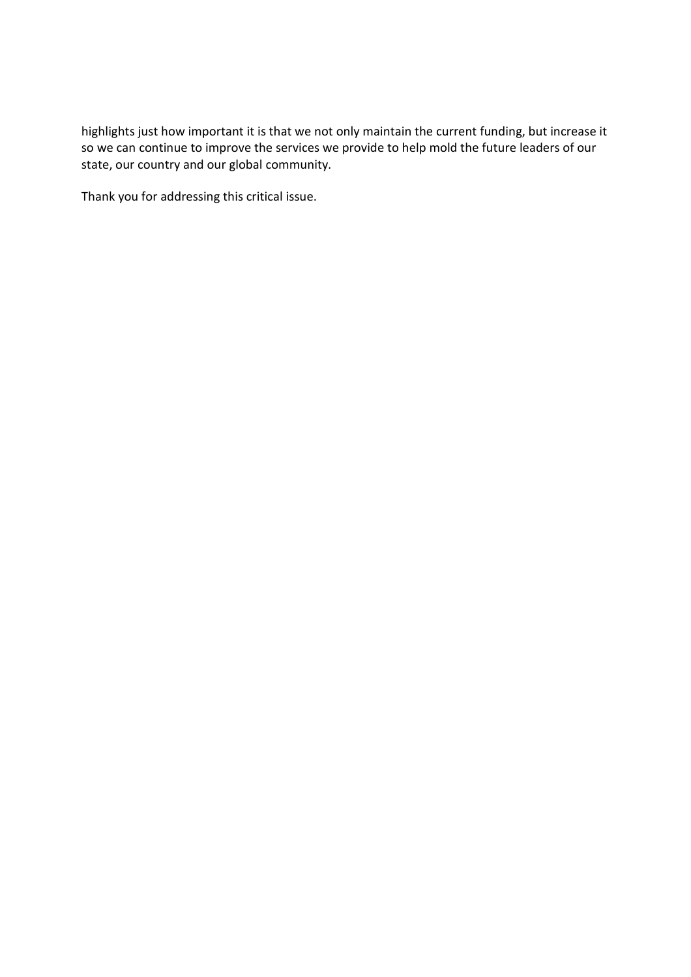highlights just how important it is that we not only maintain the current funding, but increase it so we can continue to improve the services we provide to help mold the future leaders of our state, our country and our global community.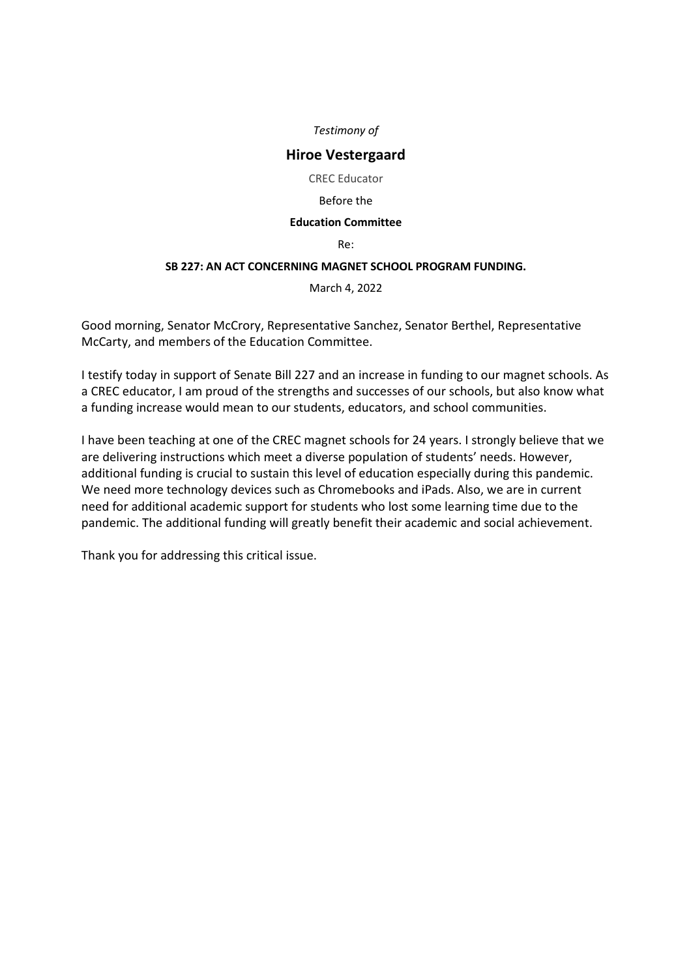# **Hiroe Vestergaard**

CREC Educator

#### Before the

#### **Education Committee**

Re:

## **SB 227: AN ACT CONCERNING MAGNET SCHOOL PROGRAM FUNDING.**

March 4, 2022

Good morning, Senator McCrory, Representative Sanchez, Senator Berthel, Representative McCarty, and members of the Education Committee.

I testify today in support of Senate Bill 227 and an increase in funding to our magnet schools. As a CREC educator, I am proud of the strengths and successes of our schools, but also know what a funding increase would mean to our students, educators, and school communities.

I have been teaching at one of the CREC magnet schools for 24 years. I strongly believe that we are delivering instructions which meet a diverse population of students' needs. However, additional funding is crucial to sustain this level of education especially during this pandemic. We need more technology devices such as Chromebooks and iPads. Also, we are in current need for additional academic support for students who lost some learning time due to the pandemic. The additional funding will greatly benefit their academic and social achievement.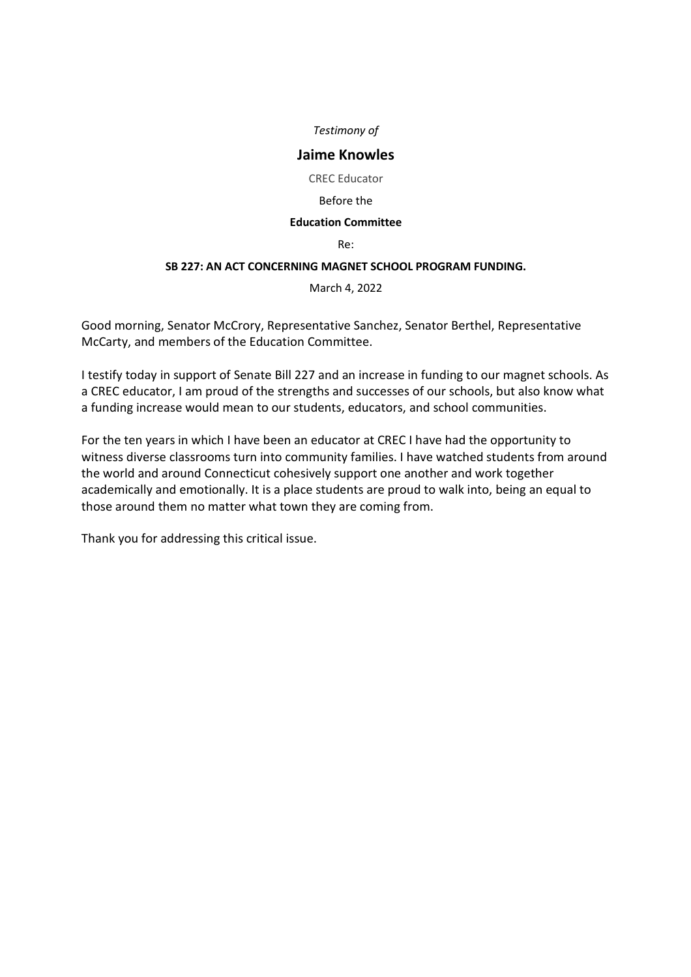# **Jaime Knowles**

CREC Educator

#### Before the

#### **Education Committee**

Re:

## **SB 227: AN ACT CONCERNING MAGNET SCHOOL PROGRAM FUNDING.**

March 4, 2022

Good morning, Senator McCrory, Representative Sanchez, Senator Berthel, Representative McCarty, and members of the Education Committee.

I testify today in support of Senate Bill 227 and an increase in funding to our magnet schools. As a CREC educator, I am proud of the strengths and successes of our schools, but also know what a funding increase would mean to our students, educators, and school communities.

For the ten years in which I have been an educator at CREC I have had the opportunity to witness diverse classrooms turn into community families. I have watched students from around the world and around Connecticut cohesively support one another and work together academically and emotionally. It is a place students are proud to walk into, being an equal to those around them no matter what town they are coming from.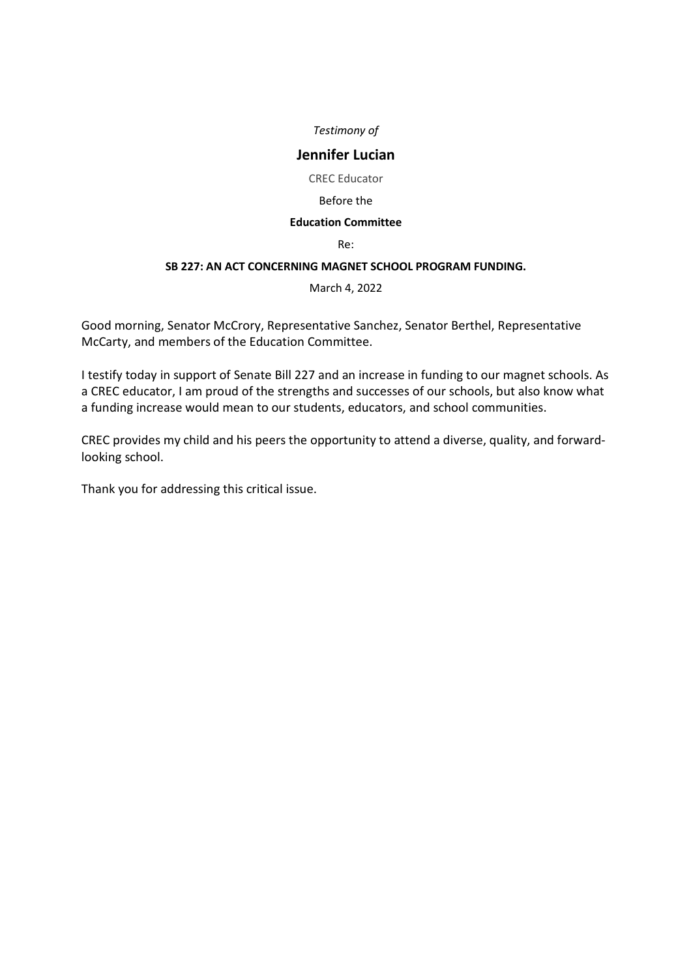# **Jennifer Lucian**

CREC Educator

## Before the

## **Education Committee**

Re:

## **SB 227: AN ACT CONCERNING MAGNET SCHOOL PROGRAM FUNDING.**

March 4, 2022

Good morning, Senator McCrory, Representative Sanchez, Senator Berthel, Representative McCarty, and members of the Education Committee.

I testify today in support of Senate Bill 227 and an increase in funding to our magnet schools. As a CREC educator, I am proud of the strengths and successes of our schools, but also know what a funding increase would mean to our students, educators, and school communities.

CREC provides my child and his peers the opportunity to attend a diverse, quality, and forwardlooking school.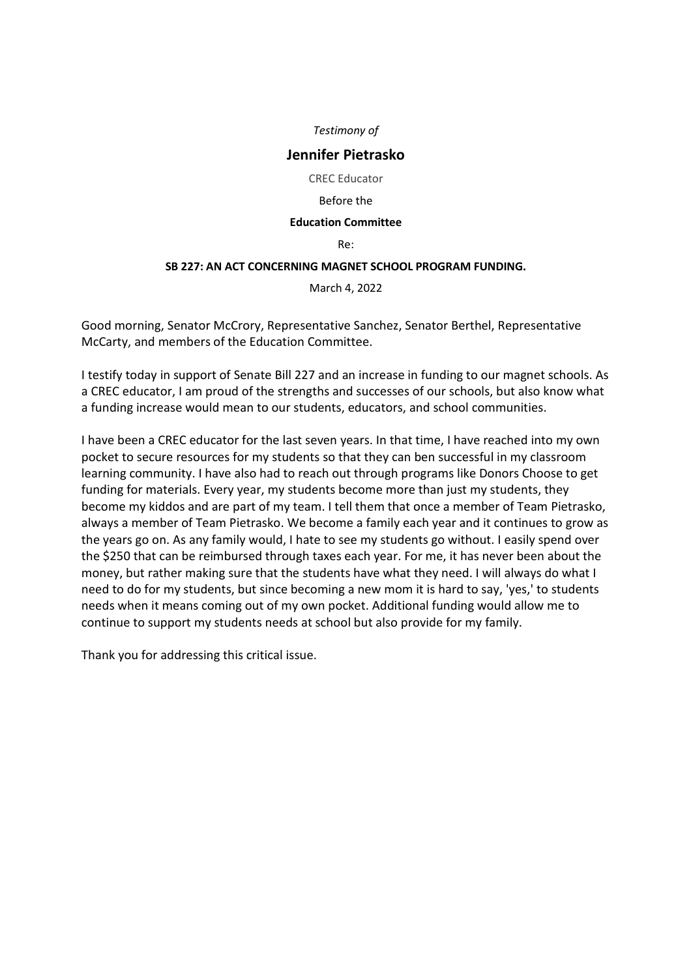## **Jennifer Pietrasko**

CREC Educator

#### Before the

## **Education Committee**

Re:

## **SB 227: AN ACT CONCERNING MAGNET SCHOOL PROGRAM FUNDING.**

March 4, 2022

Good morning, Senator McCrory, Representative Sanchez, Senator Berthel, Representative McCarty, and members of the Education Committee.

I testify today in support of Senate Bill 227 and an increase in funding to our magnet schools. As a CREC educator, I am proud of the strengths and successes of our schools, but also know what a funding increase would mean to our students, educators, and school communities.

I have been a CREC educator for the last seven years. In that time, I have reached into my own pocket to secure resources for my students so that they can ben successful in my classroom learning community. I have also had to reach out through programs like Donors Choose to get funding for materials. Every year, my students become more than just my students, they become my kiddos and are part of my team. I tell them that once a member of Team Pietrasko, always a member of Team Pietrasko. We become a family each year and it continues to grow as the years go on. As any family would, I hate to see my students go without. I easily spend over the \$250 that can be reimbursed through taxes each year. For me, it has never been about the money, but rather making sure that the students have what they need. I will always do what I need to do for my students, but since becoming a new mom it is hard to say, 'yes,' to students needs when it means coming out of my own pocket. Additional funding would allow me to continue to support my students needs at school but also provide for my family.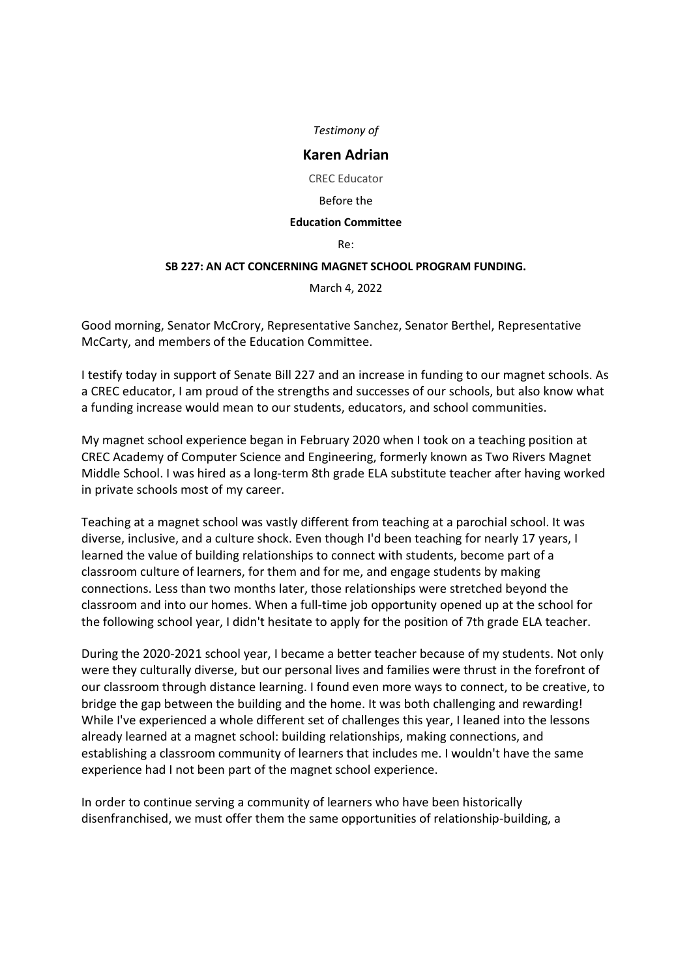## **Karen Adrian**

CREC Educator

#### Before the

#### **Education Committee**

Re:

## **SB 227: AN ACT CONCERNING MAGNET SCHOOL PROGRAM FUNDING.**

March 4, 2022

Good morning, Senator McCrory, Representative Sanchez, Senator Berthel, Representative McCarty, and members of the Education Committee.

I testify today in support of Senate Bill 227 and an increase in funding to our magnet schools. As a CREC educator, I am proud of the strengths and successes of our schools, but also know what a funding increase would mean to our students, educators, and school communities.

My magnet school experience began in February 2020 when I took on a teaching position at CREC Academy of Computer Science and Engineering, formerly known as Two Rivers Magnet Middle School. I was hired as a long-term 8th grade ELA substitute teacher after having worked in private schools most of my career.

Teaching at a magnet school was vastly different from teaching at a parochial school. It was diverse, inclusive, and a culture shock. Even though I'd been teaching for nearly 17 years, I learned the value of building relationships to connect with students, become part of a classroom culture of learners, for them and for me, and engage students by making connections. Less than two months later, those relationships were stretched beyond the classroom and into our homes. When a full-time job opportunity opened up at the school for the following school year, I didn't hesitate to apply for the position of 7th grade ELA teacher.

During the 2020-2021 school year, I became a better teacher because of my students. Not only were they culturally diverse, but our personal lives and families were thrust in the forefront of our classroom through distance learning. I found even more ways to connect, to be creative, to bridge the gap between the building and the home. It was both challenging and rewarding! While I've experienced a whole different set of challenges this year, I leaned into the lessons already learned at a magnet school: building relationships, making connections, and establishing a classroom community of learners that includes me. I wouldn't have the same experience had I not been part of the magnet school experience.

In order to continue serving a community of learners who have been historically disenfranchised, we must offer them the same opportunities of relationship-building, a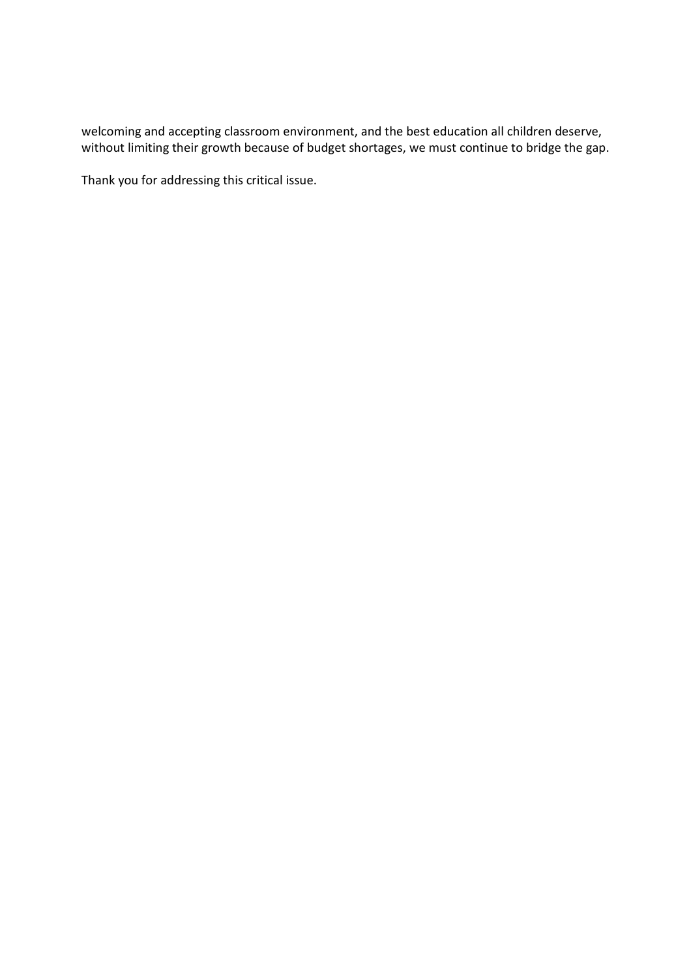welcoming and accepting classroom environment, and the best education all children deserve, without limiting their growth because of budget shortages, we must continue to bridge the gap.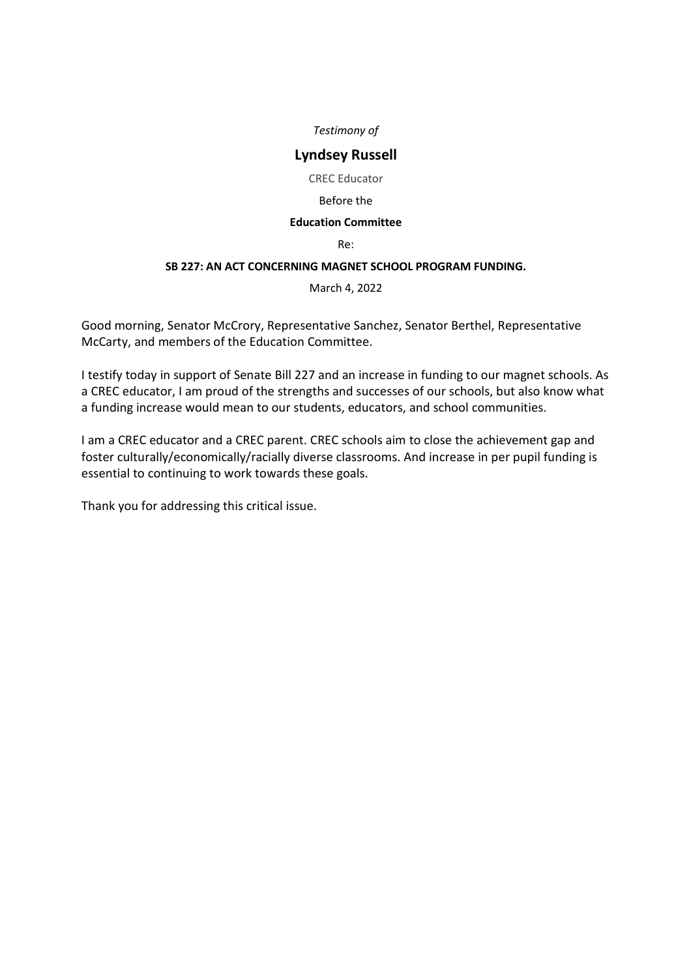# **Lyndsey Russell**

CREC Educator

## Before the

#### **Education Committee**

Re:

## **SB 227: AN ACT CONCERNING MAGNET SCHOOL PROGRAM FUNDING.**

March 4, 2022

Good morning, Senator McCrory, Representative Sanchez, Senator Berthel, Representative McCarty, and members of the Education Committee.

I testify today in support of Senate Bill 227 and an increase in funding to our magnet schools. As a CREC educator, I am proud of the strengths and successes of our schools, but also know what a funding increase would mean to our students, educators, and school communities.

I am a CREC educator and a CREC parent. CREC schools aim to close the achievement gap and foster culturally/economically/racially diverse classrooms. And increase in per pupil funding is essential to continuing to work towards these goals.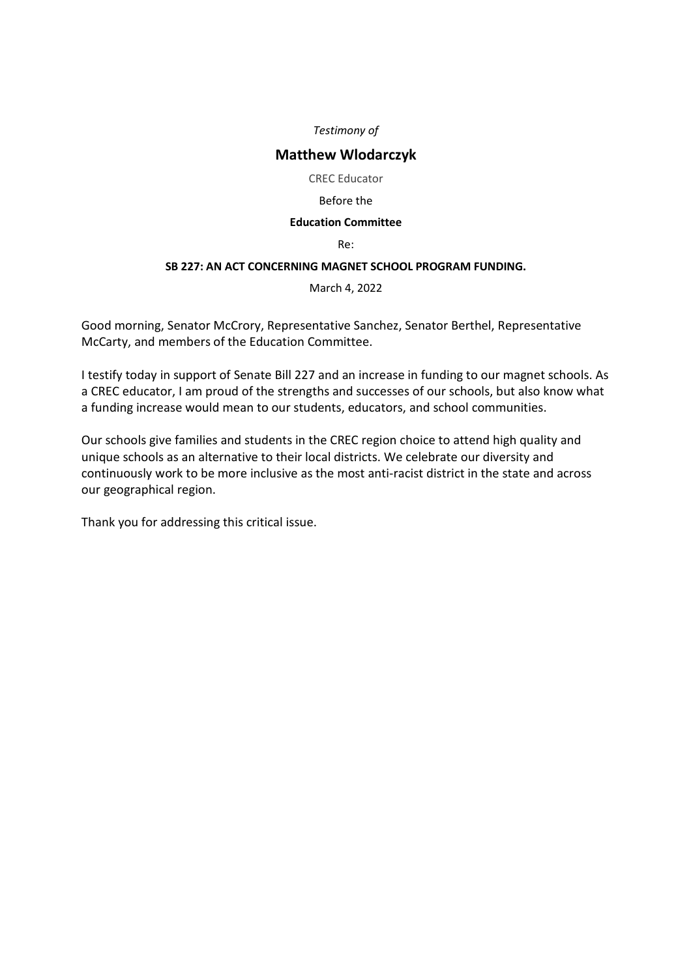# **Matthew Wlodarczyk**

CREC Educator

#### Before the

## **Education Committee**

Re:

## **SB 227: AN ACT CONCERNING MAGNET SCHOOL PROGRAM FUNDING.**

March 4, 2022

Good morning, Senator McCrory, Representative Sanchez, Senator Berthel, Representative McCarty, and members of the Education Committee.

I testify today in support of Senate Bill 227 and an increase in funding to our magnet schools. As a CREC educator, I am proud of the strengths and successes of our schools, but also know what a funding increase would mean to our students, educators, and school communities.

Our schools give families and students in the CREC region choice to attend high quality and unique schools as an alternative to their local districts. We celebrate our diversity and continuously work to be more inclusive as the most anti-racist district in the state and across our geographical region.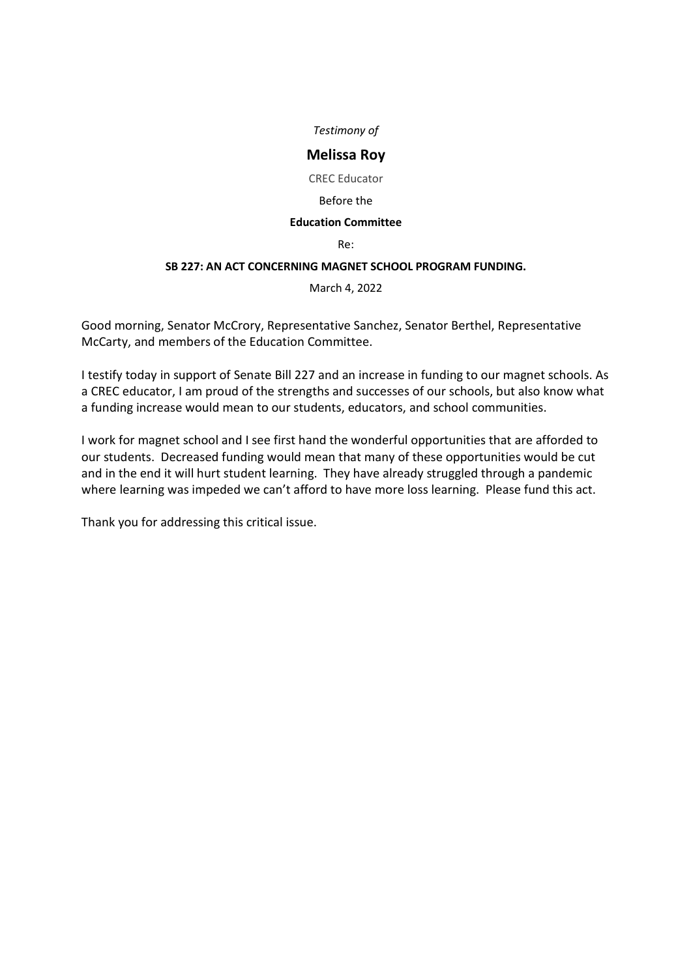# **Melissa Roy**

CREC Educator

#### Before the

## **Education Committee**

Re:

## **SB 227: AN ACT CONCERNING MAGNET SCHOOL PROGRAM FUNDING.**

March 4, 2022

Good morning, Senator McCrory, Representative Sanchez, Senator Berthel, Representative McCarty, and members of the Education Committee.

I testify today in support of Senate Bill 227 and an increase in funding to our magnet schools. As a CREC educator, I am proud of the strengths and successes of our schools, but also know what a funding increase would mean to our students, educators, and school communities.

I work for magnet school and I see first hand the wonderful opportunities that are afforded to our students. Decreased funding would mean that many of these opportunities would be cut and in the end it will hurt student learning. They have already struggled through a pandemic where learning was impeded we can't afford to have more loss learning. Please fund this act.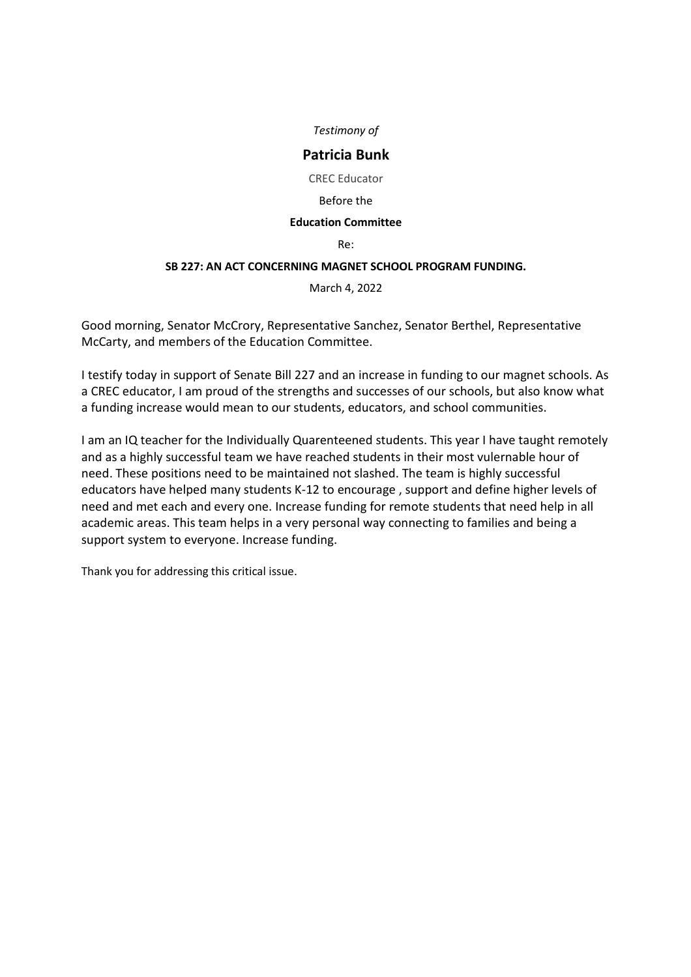## **Patricia Bunk**

CREC Educator

#### Before the

#### **Education Committee**

Re:

## **SB 227: AN ACT CONCERNING MAGNET SCHOOL PROGRAM FUNDING.**

March 4, 2022

Good morning, Senator McCrory, Representative Sanchez, Senator Berthel, Representative McCarty, and members of the Education Committee.

I testify today in support of Senate Bill 227 and an increase in funding to our magnet schools. As a CREC educator, I am proud of the strengths and successes of our schools, but also know what a funding increase would mean to our students, educators, and school communities.

I am an IQ teacher for the Individually Quarenteened students. This year I have taught remotely and as a highly successful team we have reached students in their most vulernable hour of need. These positions need to be maintained not slashed. The team is highly successful educators have helped many students K-12 to encourage , support and define higher levels of need and met each and every one. Increase funding for remote students that need help in all academic areas. This team helps in a very personal way connecting to families and being a support system to everyone. Increase funding.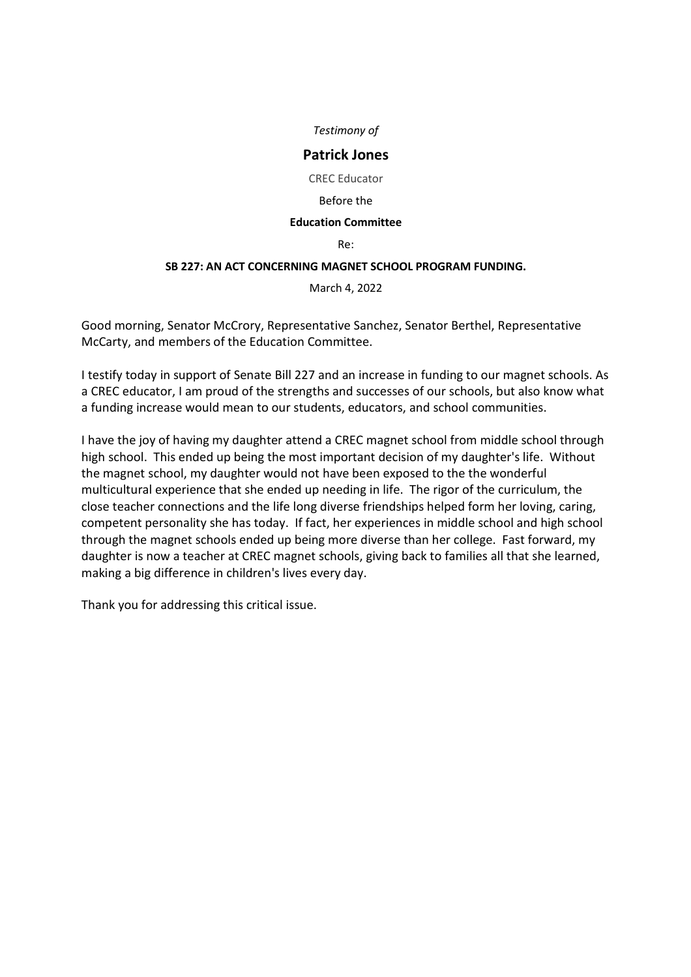## **Patrick Jones**

CREC Educator

#### Before the

#### **Education Committee**

Re:

## **SB 227: AN ACT CONCERNING MAGNET SCHOOL PROGRAM FUNDING.**

March 4, 2022

Good morning, Senator McCrory, Representative Sanchez, Senator Berthel, Representative McCarty, and members of the Education Committee.

I testify today in support of Senate Bill 227 and an increase in funding to our magnet schools. As a CREC educator, I am proud of the strengths and successes of our schools, but also know what a funding increase would mean to our students, educators, and school communities.

I have the joy of having my daughter attend a CREC magnet school from middle school through high school. This ended up being the most important decision of my daughter's life. Without the magnet school, my daughter would not have been exposed to the the wonderful multicultural experience that she ended up needing in life. The rigor of the curriculum, the close teacher connections and the life long diverse friendships helped form her loving, caring, competent personality she has today. If fact, her experiences in middle school and high school through the magnet schools ended up being more diverse than her college. Fast forward, my daughter is now a teacher at CREC magnet schools, giving back to families all that she learned, making a big difference in children's lives every day.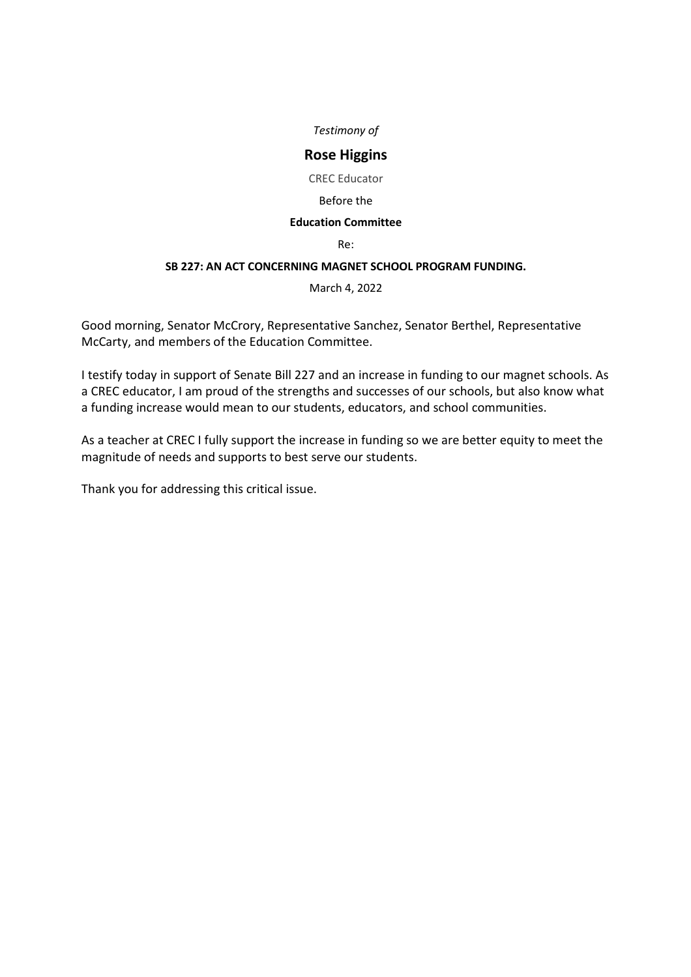# **Rose Higgins**

CREC Educator

#### Before the

## **Education Committee**

Re:

## **SB 227: AN ACT CONCERNING MAGNET SCHOOL PROGRAM FUNDING.**

March 4, 2022

Good morning, Senator McCrory, Representative Sanchez, Senator Berthel, Representative McCarty, and members of the Education Committee.

I testify today in support of Senate Bill 227 and an increase in funding to our magnet schools. As a CREC educator, I am proud of the strengths and successes of our schools, but also know what a funding increase would mean to our students, educators, and school communities.

As a teacher at CREC I fully support the increase in funding so we are better equity to meet the magnitude of needs and supports to best serve our students.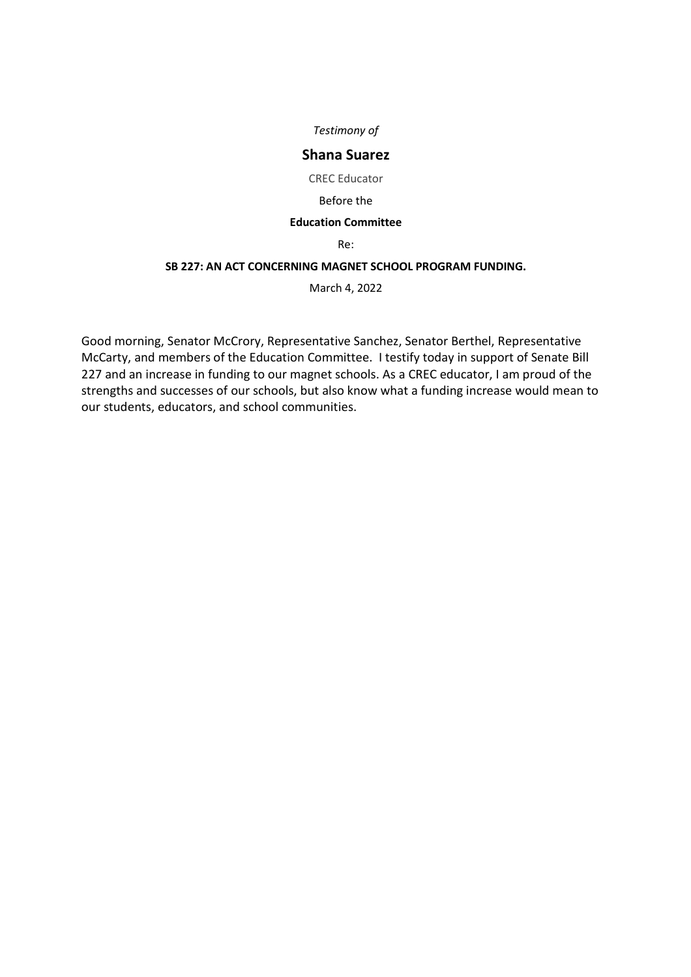# **Shana Suarez**

CREC Educator

#### Before the

## **Education Committee**

#### Re:

## **SB 227: AN ACT CONCERNING MAGNET SCHOOL PROGRAM FUNDING.**

March 4, 2022

Good morning, Senator McCrory, Representative Sanchez, Senator Berthel, Representative McCarty, and members of the Education Committee. I testify today in support of Senate Bill 227 and an increase in funding to our magnet schools. As a CREC educator, I am proud of the strengths and successes of our schools, but also know what a funding increase would mean to our students, educators, and school communities.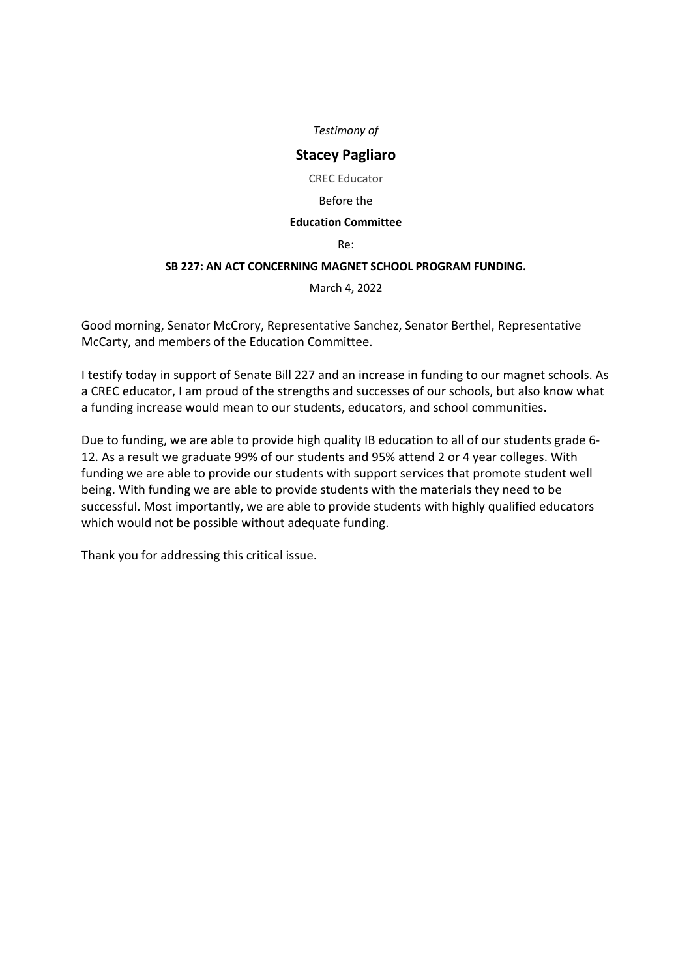# **Stacey Pagliaro**

CREC Educator

#### Before the

## **Education Committee**

Re:

## **SB 227: AN ACT CONCERNING MAGNET SCHOOL PROGRAM FUNDING.**

March 4, 2022

Good morning, Senator McCrory, Representative Sanchez, Senator Berthel, Representative McCarty, and members of the Education Committee.

I testify today in support of Senate Bill 227 and an increase in funding to our magnet schools. As a CREC educator, I am proud of the strengths and successes of our schools, but also know what a funding increase would mean to our students, educators, and school communities.

Due to funding, we are able to provide high quality IB education to all of our students grade 6- 12. As a result we graduate 99% of our students and 95% attend 2 or 4 year colleges. With funding we are able to provide our students with support services that promote student well being. With funding we are able to provide students with the materials they need to be successful. Most importantly, we are able to provide students with highly qualified educators which would not be possible without adequate funding.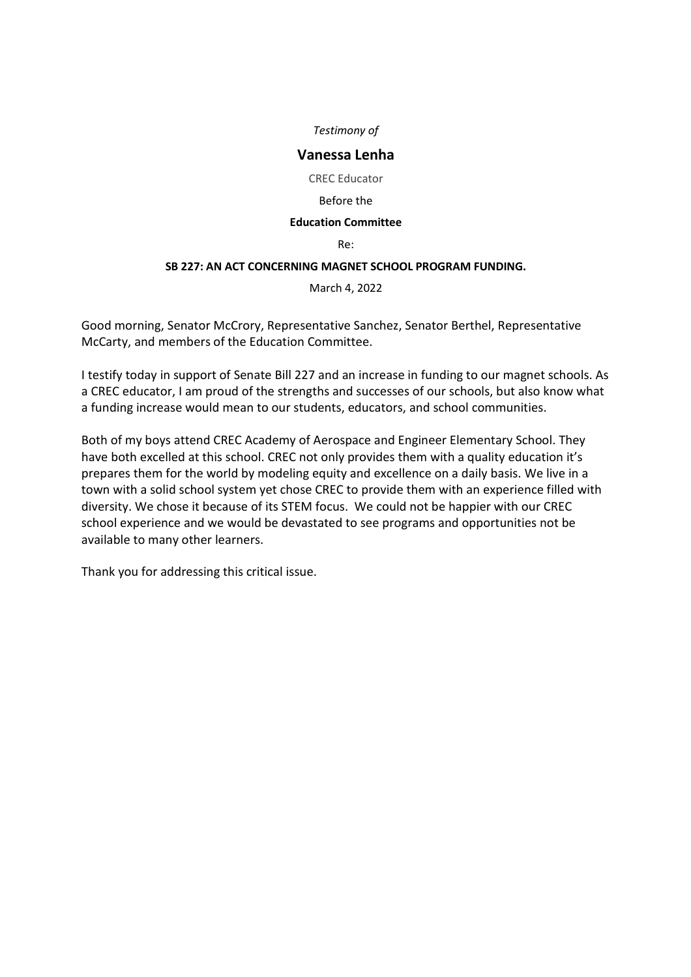## **Vanessa Lenha**

CREC Educator

#### Before the

#### **Education Committee**

Re:

## **SB 227: AN ACT CONCERNING MAGNET SCHOOL PROGRAM FUNDING.**

March 4, 2022

Good morning, Senator McCrory, Representative Sanchez, Senator Berthel, Representative McCarty, and members of the Education Committee.

I testify today in support of Senate Bill 227 and an increase in funding to our magnet schools. As a CREC educator, I am proud of the strengths and successes of our schools, but also know what a funding increase would mean to our students, educators, and school communities.

Both of my boys attend CREC Academy of Aerospace and Engineer Elementary School. They have both excelled at this school. CREC not only provides them with a quality education it's prepares them for the world by modeling equity and excellence on a daily basis. We live in a town with a solid school system yet chose CREC to provide them with an experience filled with diversity. We chose it because of its STEM focus. We could not be happier with our CREC school experience and we would be devastated to see programs and opportunities not be available to many other learners.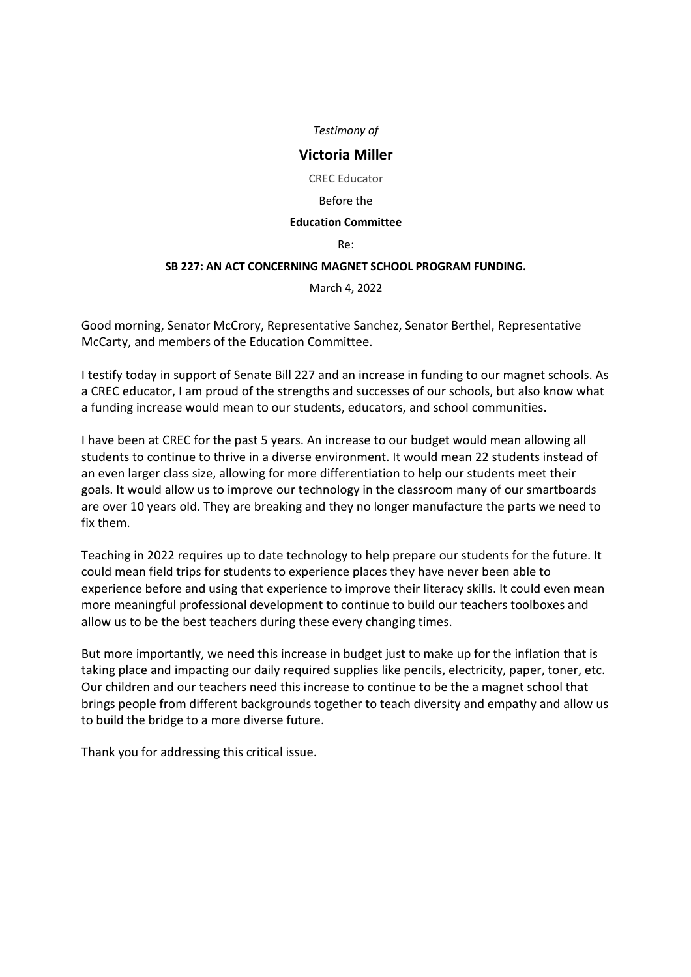# **Victoria Miller**

CREC Educator

#### Before the

#### **Education Committee**

Re:

## **SB 227: AN ACT CONCERNING MAGNET SCHOOL PROGRAM FUNDING.**

March 4, 2022

Good morning, Senator McCrory, Representative Sanchez, Senator Berthel, Representative McCarty, and members of the Education Committee.

I testify today in support of Senate Bill 227 and an increase in funding to our magnet schools. As a CREC educator, I am proud of the strengths and successes of our schools, but also know what a funding increase would mean to our students, educators, and school communities.

I have been at CREC for the past 5 years. An increase to our budget would mean allowing all students to continue to thrive in a diverse environment. It would mean 22 students instead of an even larger class size, allowing for more differentiation to help our students meet their goals. It would allow us to improve our technology in the classroom many of our smartboards are over 10 years old. They are breaking and they no longer manufacture the parts we need to fix them.

Teaching in 2022 requires up to date technology to help prepare our students for the future. It could mean field trips for students to experience places they have never been able to experience before and using that experience to improve their literacy skills. It could even mean more meaningful professional development to continue to build our teachers toolboxes and allow us to be the best teachers during these every changing times.

But more importantly, we need this increase in budget just to make up for the inflation that is taking place and impacting our daily required supplies like pencils, electricity, paper, toner, etc. Our children and our teachers need this increase to continue to be the a magnet school that brings people from different backgrounds together to teach diversity and empathy and allow us to build the bridge to a more diverse future.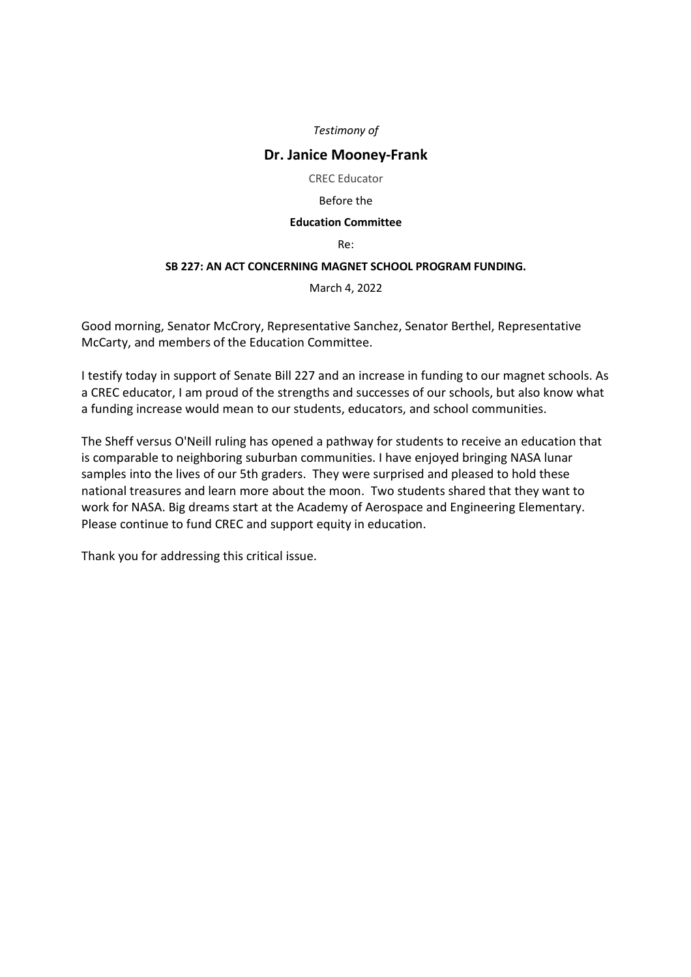# **Dr. Janice Mooney-Frank**

CREC Educator

#### Before the

## **Education Committee**

Re:

## **SB 227: AN ACT CONCERNING MAGNET SCHOOL PROGRAM FUNDING.**

March 4, 2022

Good morning, Senator McCrory, Representative Sanchez, Senator Berthel, Representative McCarty, and members of the Education Committee.

I testify today in support of Senate Bill 227 and an increase in funding to our magnet schools. As a CREC educator, I am proud of the strengths and successes of our schools, but also know what a funding increase would mean to our students, educators, and school communities.

The Sheff versus O'Neill ruling has opened a pathway for students to receive an education that is comparable to neighboring suburban communities. I have enjoyed bringing NASA lunar samples into the lives of our 5th graders. They were surprised and pleased to hold these national treasures and learn more about the moon. Two students shared that they want to work for NASA. Big dreams start at the Academy of Aerospace and Engineering Elementary. Please continue to fund CREC and support equity in education.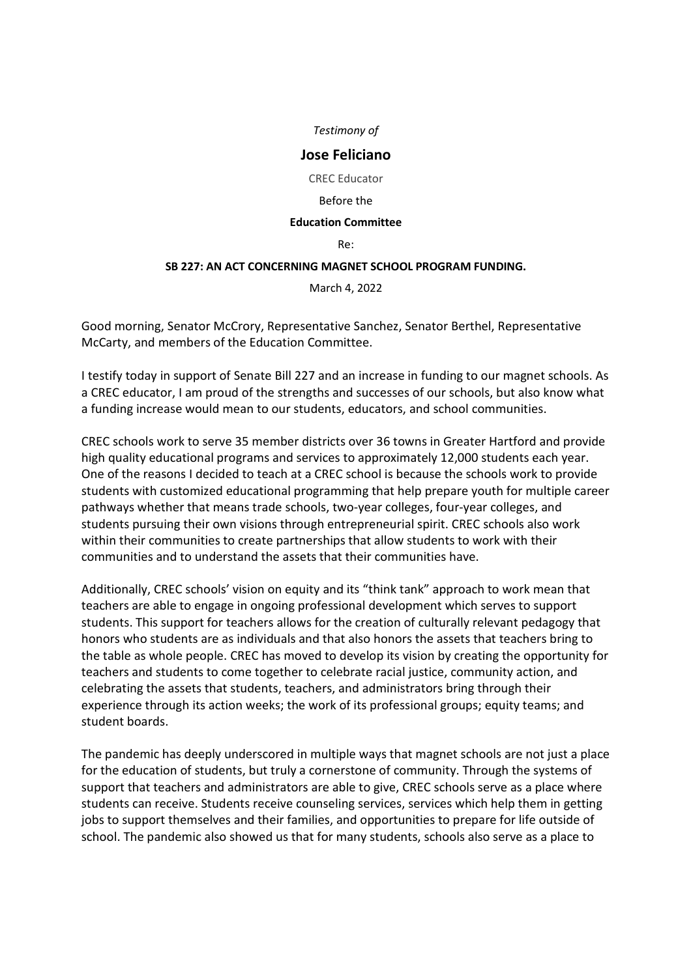## **Jose Feliciano**

CREC Educator

#### Before the

#### **Education Committee**

Re:

## **SB 227: AN ACT CONCERNING MAGNET SCHOOL PROGRAM FUNDING.**

March 4, 2022

Good morning, Senator McCrory, Representative Sanchez, Senator Berthel, Representative McCarty, and members of the Education Committee.

I testify today in support of Senate Bill 227 and an increase in funding to our magnet schools. As a CREC educator, I am proud of the strengths and successes of our schools, but also know what a funding increase would mean to our students, educators, and school communities.

CREC schools work to serve 35 member districts over 36 towns in Greater Hartford and provide high quality educational programs and services to approximately 12,000 students each year. One of the reasons I decided to teach at a CREC school is because the schools work to provide students with customized educational programming that help prepare youth for multiple career pathways whether that means trade schools, two-year colleges, four-year colleges, and students pursuing their own visions through entrepreneurial spirit. CREC schools also work within their communities to create partnerships that allow students to work with their communities and to understand the assets that their communities have.

Additionally, CREC schools' vision on equity and its "think tank" approach to work mean that teachers are able to engage in ongoing professional development which serves to support students. This support for teachers allows for the creation of culturally relevant pedagogy that honors who students are as individuals and that also honors the assets that teachers bring to the table as whole people. CREC has moved to develop its vision by creating the opportunity for teachers and students to come together to celebrate racial justice, community action, and celebrating the assets that students, teachers, and administrators bring through their experience through its action weeks; the work of its professional groups; equity teams; and student boards.

The pandemic has deeply underscored in multiple ways that magnet schools are not just a place for the education of students, but truly a cornerstone of community. Through the systems of support that teachers and administrators are able to give, CREC schools serve as a place where students can receive. Students receive counseling services, services which help them in getting jobs to support themselves and their families, and opportunities to prepare for life outside of school. The pandemic also showed us that for many students, schools also serve as a place to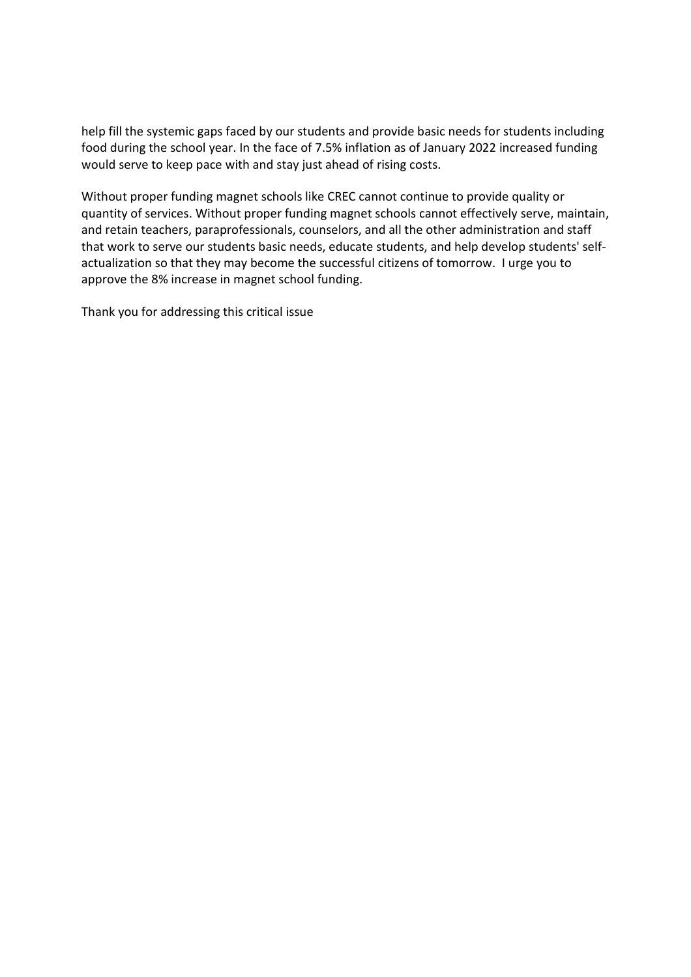help fill the systemic gaps faced by our students and provide basic needs for students including food during the school year. In the face of 7.5% inflation as of January 2022 increased funding would serve to keep pace with and stay just ahead of rising costs.

Without proper funding magnet schools like CREC cannot continue to provide quality or quantity of services. Without proper funding magnet schools cannot effectively serve, maintain, and retain teachers, paraprofessionals, counselors, and all the other administration and staff that work to serve our students basic needs, educate students, and help develop students' selfactualization so that they may become the successful citizens of tomorrow. I urge you to approve the 8% increase in magnet school funding.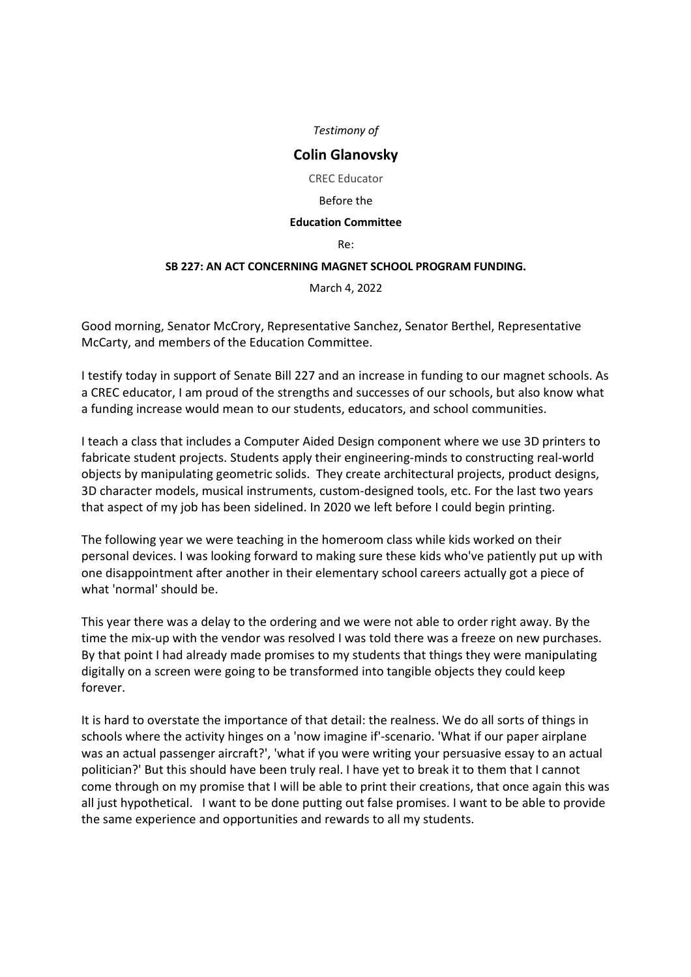# **Colin Glanovsky**

CREC Educator

#### Before the

#### **Education Committee**

Re:

## **SB 227: AN ACT CONCERNING MAGNET SCHOOL PROGRAM FUNDING.**

March 4, 2022

Good morning, Senator McCrory, Representative Sanchez, Senator Berthel, Representative McCarty, and members of the Education Committee.

I testify today in support of Senate Bill 227 and an increase in funding to our magnet schools. As a CREC educator, I am proud of the strengths and successes of our schools, but also know what a funding increase would mean to our students, educators, and school communities.

I teach a class that includes a Computer Aided Design component where we use 3D printers to fabricate student projects. Students apply their engineering-minds to constructing real-world objects by manipulating geometric solids. They create architectural projects, product designs, 3D character models, musical instruments, custom-designed tools, etc. For the last two years that aspect of my job has been sidelined. In 2020 we left before I could begin printing.

The following year we were teaching in the homeroom class while kids worked on their personal devices. I was looking forward to making sure these kids who've patiently put up with one disappointment after another in their elementary school careers actually got a piece of what 'normal' should be.

This year there was a delay to the ordering and we were not able to order right away. By the time the mix-up with the vendor was resolved I was told there was a freeze on new purchases. By that point I had already made promises to my students that things they were manipulating digitally on a screen were going to be transformed into tangible objects they could keep forever.

It is hard to overstate the importance of that detail: the realness. We do all sorts of things in schools where the activity hinges on a 'now imagine if'-scenario. 'What if our paper airplane was an actual passenger aircraft?', 'what if you were writing your persuasive essay to an actual politician?' But this should have been truly real. I have yet to break it to them that I cannot come through on my promise that I will be able to print their creations, that once again this was all just hypothetical. I want to be done putting out false promises. I want to be able to provide the same experience and opportunities and rewards to all my students.